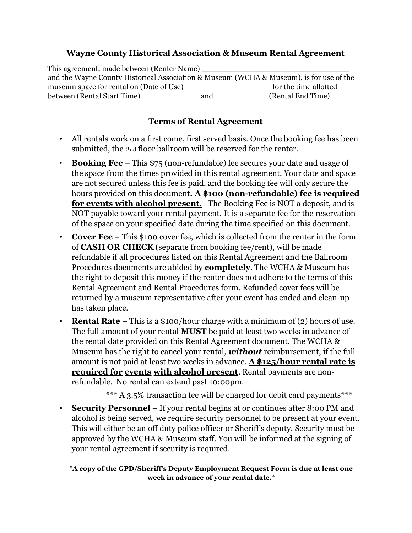### Wayne County Historical Association & Museum Rental Agreement

This agreement, made between (Renter Name) and the Wayne County Historical Association & Museum (WCHA & Museum), is for use of the museum space for rental on (Date of Use) for the time allotted between (Rental Start Time) \_\_\_\_\_\_\_\_\_\_\_\_ and \_\_\_\_\_\_\_\_\_\_\_ (Rental End Time).

# Terms of Rental Agreement

- All rentals work on a first come, first served basis. Once the booking fee has been submitted, the 2<sub>nd</sub> floor ballroom will be reserved for the renter.
- Booking Fee This \$75 (non-refundable) fee secures your date and usage of the space from the times provided in this rental agreement. Your date and space are not secured unless this fee is paid, and the booking fee will only secure the hours provided on this document. A \$100 (non-refundable) fee is required for events with alcohol present. The Booking Fee is NOT a deposit, and is NOT payable toward your rental payment. It is a separate fee for the reservation of the space on your specified date during the time specified on this document.
- Cover Fee This \$100 cover fee, which is collected from the renter in the form of CASH OR CHECK (separate from booking fee/rent), will be made refundable if all procedures listed on this Rental Agreement and the Ballroom Procedures documents are abided by completely. The WCHA & Museum has the right to deposit this money if the renter does not adhere to the terms of this Rental Agreement and Rental Procedures form. Refunded cover fees will be returned by a museum representative after your event has ended and clean-up has taken place.
- **Rental Rate** This is a \$100/hour charge with a minimum of (2) hours of use. The full amount of your rental MUST be paid at least two weeks in advance of the rental date provided on this Rental Agreement document. The WCHA & Museum has the right to cancel your rental, *without* reimbursement, if the full amount is not paid at least two weeks in advance. A \$125/hour rental rate is required for events with alcohol present. Rental payments are nonrefundable. No rental can extend past 10:00pm.

\*\*\* A 3.5% transaction fee will be charged for debit card payments\*\*\*

• Security Personnel – If your rental begins at or continues after 8:00 PM and alcohol is being served, we require security personnel to be present at your event. This will either be an off duty police officer or Sheriff's deputy. Security must be approved by the WCHA & Museum staff. You will be informed at the signing of your rental agreement if security is required.

\*A copy of the GPD/Sheriff's Deputy Employment Request Form is due at least one week in advance of your rental date.\*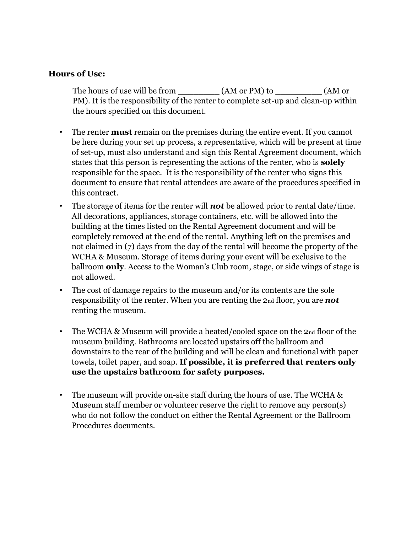#### Hours of Use:

The hours of use will be from  $(AM \text{ or } PM)$  to  $(AM \text{ or } AM)$ PM). It is the responsibility of the renter to complete set-up and clean-up within the hours specified on this document.

- The renter **must** remain on the premises during the entire event. If you cannot be here during your set up process, a representative, which will be present at time of set-up, must also understand and sign this Rental Agreement document, which states that this person is representing the actions of the renter, who is **solely** responsible for the space. It is the responsibility of the renter who signs this document to ensure that rental attendees are aware of the procedures specified in this contract.
- The storage of items for the renter will **not** be allowed prior to rental date/time. All decorations, appliances, storage containers, etc. will be allowed into the building at the times listed on the Rental Agreement document and will be completely removed at the end of the rental. Anything left on the premises and not claimed in (7) days from the day of the rental will become the property of the WCHA & Museum. Storage of items during your event will be exclusive to the ballroom only. Access to the Woman's Club room, stage, or side wings of stage is not allowed.
- The cost of damage repairs to the museum and/or its contents are the sole responsibility of the renter. When you are renting the  $2<sub>nd</sub>$  floor, you are **not** renting the museum.
- The WCHA & Museum will provide a heated/cooled space on the 2nd floor of the museum building. Bathrooms are located upstairs off the ballroom and downstairs to the rear of the building and will be clean and functional with paper towels, toilet paper, and soap. If possible, it is preferred that renters only use the upstairs bathroom for safety purposes.
- The museum will provide on-site staff during the hours of use. The WCHA & Museum staff member or volunteer reserve the right to remove any person(s) who do not follow the conduct on either the Rental Agreement or the Ballroom Procedures documents.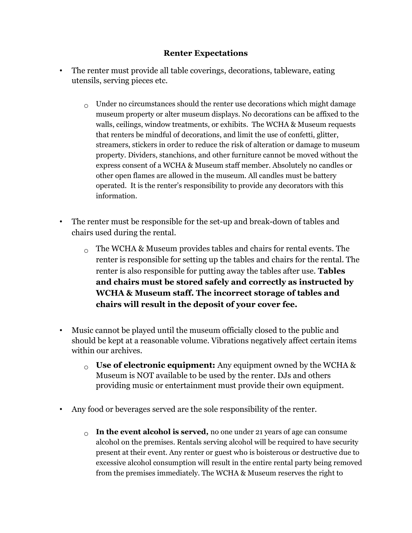#### Renter Expectations

- The renter must provide all table coverings, decorations, tableware, eating utensils, serving pieces etc.
	- $\Omega_{\text{O}}$  Under no circumstances should the renter use decorations which might damage museum property or alter museum displays. No decorations can be affixed to the walls, ceilings, window treatments, or exhibits. The WCHA & Museum requests that renters be mindful of decorations, and limit the use of confetti, glitter, streamers, stickers in order to reduce the risk of alteration or damage to museum property. Dividers, stanchions, and other furniture cannot be moved without the express consent of a WCHA & Museum staff member. Absolutely no candles or other open flames are allowed in the museum. All candles must be battery operated. It is the renter's responsibility to provide any decorators with this information.
- The renter must be responsible for the set-up and break-down of tables and chairs used during the rental.
	- $\alpha$  The WCHA & Museum provides tables and chairs for rental events. The renter is responsible for setting up the tables and chairs for the rental. The renter is also responsible for putting away the tables after use. **Tables** and chairs must be stored safely and correctly as instructed by WCHA & Museum staff. The incorrect storage of tables and chairs will result in the deposit of your cover fee.
- Music cannot be played until the museum officially closed to the public and should be kept at a reasonable volume. Vibrations negatively affect certain items within our archives.
	- $\circ$  Use of electronic equipment: Any equipment owned by the WCHA & Museum is NOT available to be used by the renter. DJs and others providing music or entertainment must provide their own equipment.
- Any food or beverages served are the sole responsibility of the renter.
	- $\circ$  In the event alcohol is served, no one under 21 years of age can consume alcohol on the premises. Rentals serving alcohol will be required to have security present at their event. Any renter or guest who is boisterous or destructive due to excessive alcohol consumption will result in the entire rental party being removed from the premises immediately. The WCHA & Museum reserves the right to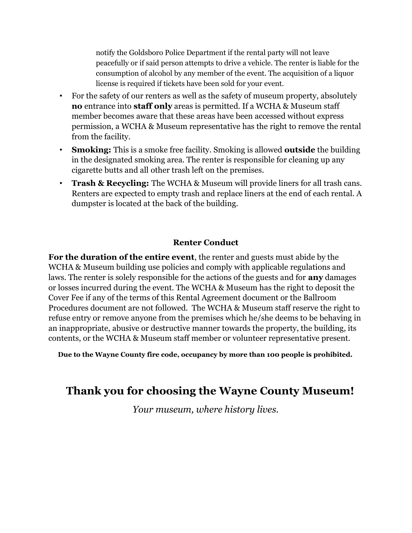notify the Goldsboro Police Department if the rental party will not leave peacefully or if said person attempts to drive a vehicle. The renter is liable for the consumption of alcohol by any member of the event. The acquisition of a liquor license is required if tickets have been sold for your event.

- For the safety of our renters as well as the safety of museum property, absolutely no entrance into staff only areas is permitted. If a WCHA & Museum staff member becomes aware that these areas have been accessed without express permission, a WCHA & Museum representative has the right to remove the rental from the facility.
- **Smoking:** This is a smoke free facility. Smoking is allowed **outside** the building in the designated smoking area. The renter is responsible for cleaning up any cigarette butts and all other trash left on the premises.
- **Trash & Recycling:** The WCHA & Museum will provide liners for all trash cans. Renters are expected to empty trash and replace liners at the end of each rental. A dumpster is located at the back of the building.

# Renter Conduct

For the duration of the entire event, the renter and guests must abide by the WCHA & Museum building use policies and comply with applicable regulations and laws. The renter is solely responsible for the actions of the guests and for **any** damages or losses incurred during the event. The WCHA & Museum has the right to deposit the Cover Fee if any of the terms of this Rental Agreement document or the Ballroom Procedures document are not followed. The WCHA & Museum staff reserve the right to refuse entry or remove anyone from the premises which he/she deems to be behaving in an inappropriate, abusive or destructive manner towards the property, the building, its contents, or the WCHA & Museum staff member or volunteer representative present.

Due to the Wayne County fire code, occupancy by more than 100 people is prohibited.

# Thank you for choosing the Wayne County Museum!

Your museum, where history lives.